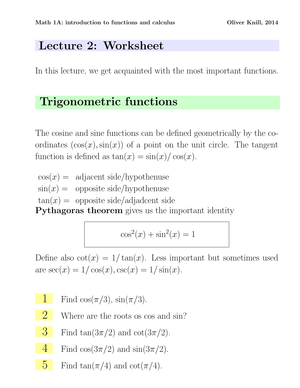## Lecture 2: Worksheet

In this lecture, we get acquainted with the most important functions.

## Trigonometric functions

The cosine and sine functions can be defined geometrically by the coordinates  $(\cos(x), \sin(x))$  of a point on the unit circle. The tangent function is defined as  $tan(x) = sin(x)/cos(x)$ .

- $\cos(x) =$  adjacent side/hypothenuse
- $sin(x) =$  opposite side/hypothenuse
- $tan(x) =$  opposite side/adjadcent side

Pythagoras theorem gives us the important identity

$$
\cos^2(x) + \sin^2(x) = 1
$$

Define also  $\cot(x) = 1/\tan(x)$ . Less important but sometimes used are  $sec(x) = 1/cos(x), csc(x) = 1/sin(x)$ .

- **1** Find  $\cos(\pi/3)$ ,  $\sin(\pi/3)$ .
- 2 Where are the roots os cos and sin?
- **3** Find tan $(3\pi/2)$  and cot $(3\pi/2)$ .
- 4 Find  $\cos(3\pi/2)$  and  $\sin(3\pi/2)$ .
- 5 Find tan( $\pi/4$ ) and cot( $\pi/4$ ).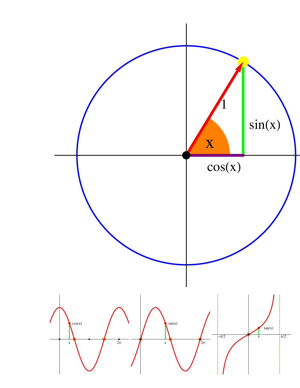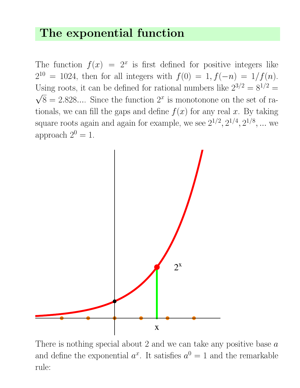## The exponential function

The function  $f(x) = 2^x$  is first defined for positive integers like  $2^{10} = 1024$ , then for all integers with  $f(0) = 1, f(-n) = 1/f(n)$ . Using roots, it can be defined for rational numbers like  $2^{3/2} = 8^{1/2}$  =  $\overline{8} = 2.828...$  Since the function  $2^x$  is monotonone on the set of rationals, we can fill the gaps and define  $f(x)$  for any real x. By taking square roots again and again for example, we see  $2^{1/2}, 2^{1/4}, 2^{1/8}, \dots$  we approach  $2^0 = 1$ .



There is nothing special about 2 and we can take any positive base  $a$ and define the exponential  $a^x$ . It satisfies  $a^0 = 1$  and the remarkable rule: